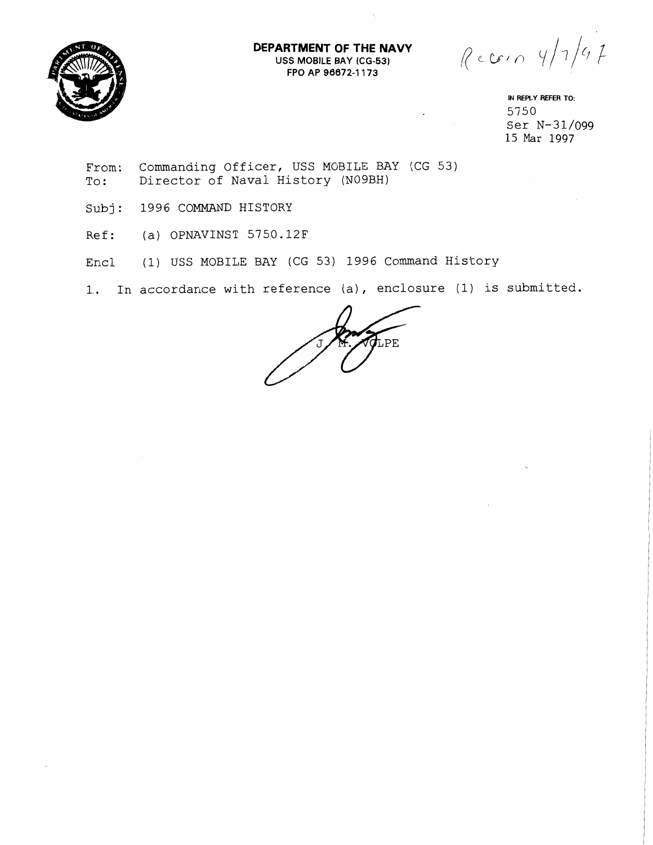

**DEPARTMENT OF THE NAVY USS** MOBILE BAY **(CG-53)**  FPO AP **96672-1** 173

 $Reccio 4/7/67$ 

**IN** REPLY REFER **TO:**  5750 Ser N-31/099 15 Mar 1997

From: Commanding Officer, USS MOBILE BAY (CG 53) To: Director of Naval History (NO9BH)

Subj: 1996 COMMAND HISTORY

Ref: (a) OPNAVINST 5750.12F

Encl (1) USS MOBILE BAY (CG 53) 1996 Command History

1.. In accordance with reference (a), enclosure (1) is submitted.

 $\sigma_{\texttt{LPE}}$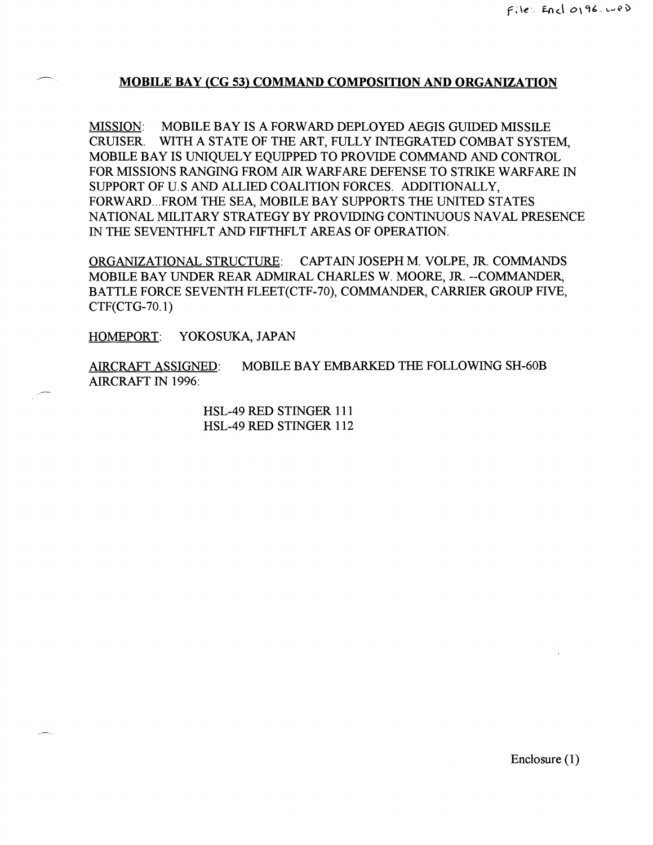## 7 **MOBILE BAY (CG 53) COMMAND COMPOSITION AND ORGANIZATION**

MISSION: MOBILE BAY IS A FORWARD DEPLOYED AEGIS GUIDED MISSILE CRUISER. WITH A STATE OF THE ART, FULLY INTEGRATED COMBAT SYSTEM, MOBILE BAY IS UNIQUELY EQUIPPED TO PROVIDE COMMAND AND CONTROL FOR MISSIONS RANGING FROM AIR WARFARE DEFENSE TO STRIKE WARFARE IN SIJPPORT OF U. S AND ALLIED COALITION FORCES. ADDITIONALLY, FORWARD... FROM THE SEA, MOBILE BAY SUPPORTS THE UNITED STATES NATIONAL MILITARY STRATEGY BY PROVIDING CONTINUOUS NAVAL PRESENCE IN THE SEVENTHFLT AND FIFTHFLT AREAS OF OPERATION.

ORGANIZATIONAL STRUCTURE: CAPTAIN JOSEPH M. VOLPE, JR. COMMANDS MOBILE BAY UNDER REAR ADMIRAL CHARLES W. MOORE, **JR.** --COMMANDER, BATTLE FORCE SEVENTH FLEET(CTF-70), COMMANDER, CARRIER GROUP FIVE, CTF(CTG-70.1)

HOMEPORT: YOKOSUKA, JAPAN

AERCRAFT ASSIGNED: MOBILE BAY EMBARKED THE FOLLOWING SH-60B AIRCRAFT IN 1996:

> HSL-49 RED STINGER 111 HSL-49 RED STINGER 1 12

> > Enclosure (1)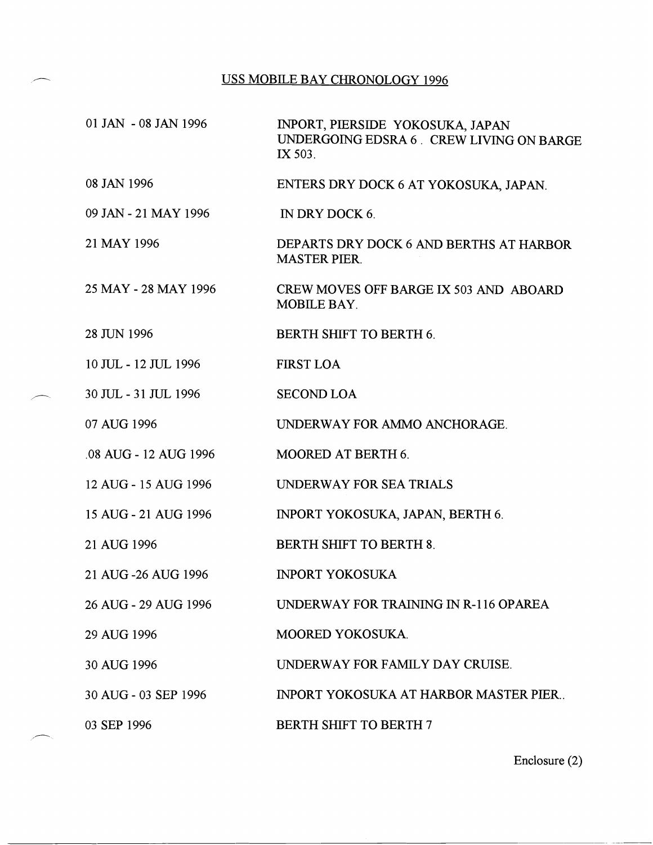## USS MOBILE BAY CHRONOLOGY 1996

| 01 JAN - 08 JAN 1996  | INPORT, PIERSIDE YOKOSUKA, JAPAN<br>UNDERGOING EDSRA 6. CREW LIVING ON BARGE<br>IX 503. |
|-----------------------|-----------------------------------------------------------------------------------------|
| 08 JAN 1996           | ENTERS DRY DOCK 6 AT YOKOSUKA, JAPAN.                                                   |
| 09 JAN - 21 MAY 1996  | IN DRY DOCK 6.                                                                          |
| 21 MAY 1996           | DEPARTS DRY DOCK 6 AND BERTHS AT HARBOR<br><b>MASTER PIER.</b>                          |
| 25 MAY - 28 MAY 1996  | CREW MOVES OFF BARGE IX 503 AND ABOARD<br>MOBILE BAY.                                   |
| 28 JUN 1996           | <b>BERTH SHIFT TO BERTH 6.</b>                                                          |
| 10 JUL - 12 JUL 1996  | <b>FIRST LOA</b>                                                                        |
| 30 JUL - 31 JUL 1996  | <b>SECOND LOA</b>                                                                       |
| 07 AUG 1996           | UNDERWAY FOR AMMO ANCHORAGE.                                                            |
| .08 AUG - 12 AUG 1996 | <b>MOORED AT BERTH 6.</b>                                                               |
| 12 AUG - 15 AUG 1996  | <b>UNDERWAY FOR SEA TRIALS</b>                                                          |
| 15 AUG - 21 AUG 1996  | INPORT YOKOSUKA, JAPAN, BERTH 6.                                                        |
| 21 AUG 1996           | <b>BERTH SHIFT TO BERTH 8.</b>                                                          |
| 21 AUG -26 AUG 1996   | <b>INPORT YOKOSUKA</b>                                                                  |
| 26 AUG - 29 AUG 1996  | UNDERWAY FOR TRAINING IN R-116 OPAREA                                                   |
| 29 AUG 1996           | MOORED YOKOSUKA.                                                                        |
| 30 AUG 1996           | UNDERWAY FOR FAMILY DAY CRUISE.                                                         |
| 30 AUG - 03 SEP 1996  | <b>INPORT YOKOSUKA AT HARBOR MASTER PIER</b>                                            |
| 03 SEP 1996           | <b>BERTH SHIFT TO BERTH 7</b>                                                           |

Enclosure (2)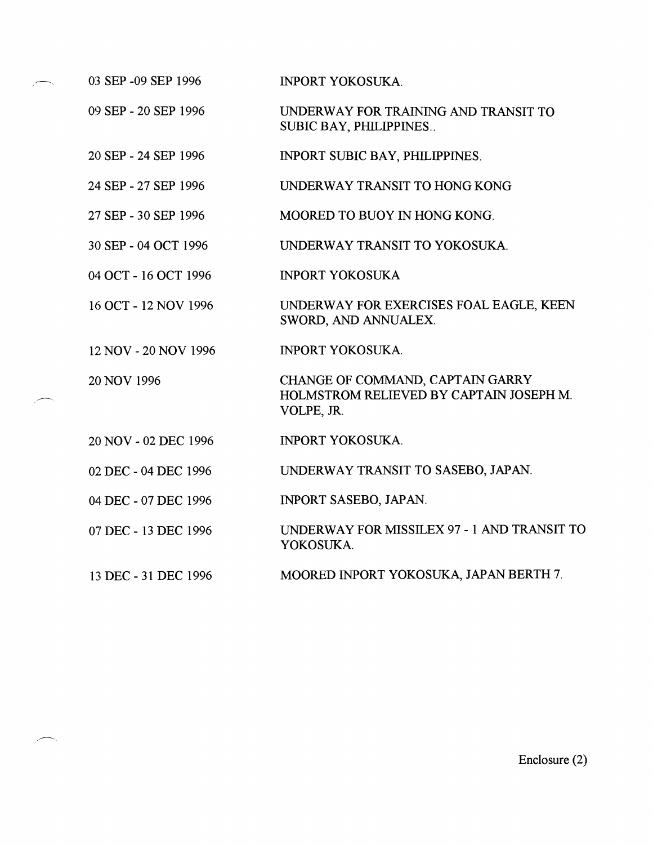| 09 SEP - 20 SEP 1996 | UNDERWAY FOR TRAINING AND TRANSIT TO<br>SUBIC BAY, PHILIPPINES                            |
|----------------------|-------------------------------------------------------------------------------------------|
| 20 SEP - 24 SEP 1996 | INPORT SUBIC BAY, PHILIPPINES.                                                            |
| 24 SEP - 27 SEP 1996 | UNDERWAY TRANSIT TO HONG KONG                                                             |
| 27 SEP - 30 SEP 1996 | MOORED TO BUOY IN HONG KONG.                                                              |
| 30 SEP - 04 OCT 1996 | UNDERWAY TRANSIT TO YOKOSUKA.                                                             |
| 04 OCT - 16 OCT 1996 | <b>INPORT YOKOSUKA</b>                                                                    |
| 16 OCT - 12 NOV 1996 | UNDERWAY FOR EXERCISES FOAL EAGLE, KEEN<br>SWORD, AND ANNUALEX.                           |
| 12 NOV - 20 NOV 1996 | <b>INPORT YOKOSUKA.</b>                                                                   |
| 20 NOV 1996          | CHANGE OF COMMAND, CAPTAIN GARRY<br>HOLMSTROM RELIEVED BY CAPTAIN JOSEPH M.<br>VOLPE, JR. |
| 20 NOV - 02 DEC 1996 | <b>INPORT YOKOSUKA.</b>                                                                   |
| 02 DEC - 04 DEC 1996 | UNDERWAY TRANSIT TO SASEBO, JAPAN.                                                        |
| 04 DEC - 07 DEC 1996 | <b>INPORT SASEBO, JAPAN.</b>                                                              |
| 07 DEC - 13 DEC 1996 | UNDERWAY FOR MISSILEX 97 - 1 AND TRANSIT TO<br>YOKOSUKA.                                  |
| 13 DEC - 31 DEC 1996 | MOORED INPORT YOKOSUKA, JAPAN BERTH 7.                                                    |
|                      |                                                                                           |
|                      |                                                                                           |
|                      |                                                                                           |

INPORT YOKOSUKA.

 $-$  03 SEP -09 SEP 1996

 $\overline{\phantom{a}}$ 

Enclosure (2)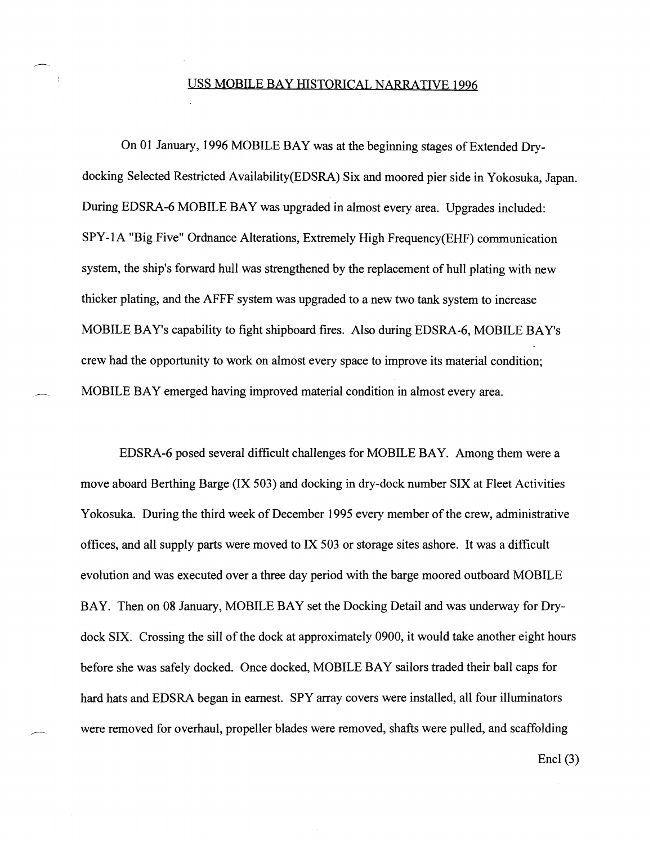## USS MOBILE BAY HISTORICAL NARRATIVE 1996

On 01 January, 1996 MOBILE BAY was at the beginning stages of Extended Drydocking Selected Restricted Availability(EDSRA) Six and moored pier side in Yokosuka, Japan. During EDSRA-6 MOBILE BAY was upgraded in almost every area. Upgrades included: SPY- 1 A "Big Five" Ordnance Alterations, Extremely High Frequency(EHF) communication system, the ship's forward hull was strengthened by the replacement of hull plating with new thicker plating, and the AFFF system was upgraded to a new two tank system to increase MOBILE BAY's capability to fight shipboard fires. Also during EDSRA-6, MOBILE BAY's crew had the opportunity to work on almost every space to improve its material condition; - MOBILE BAY emerged having improved material condition in almost every area.

EDSRA-6 posed several difficult challenges for MOBILE BAY. Among them were a move aboard Berthing Barge (IX 503) and docking in dry-dock number SIX at Fleet Activities Yokosuka. During the third week of December 1995 every member of the crew, administrative offices, and all supply parts were moved to IX 503 or storage sites ashore. It was a difficult evolution and was executed over a three day period with the barge moored outboard MOBILE BAY. Then on 08 January, MOBILE BAY set the Docking Detail and was underway for Drydock SIX. Crossing the sill of the dock at approximately 0900, it would take another eight hours before she was safely docked. Once docked, MOBILE BAY sailors traded their ball caps for hard hats and EDSRA began in earnest. SPY array covers were installed, all four illuminators were removed for overhaul, propeller blades were removed, shafts were pulled, and scaffolding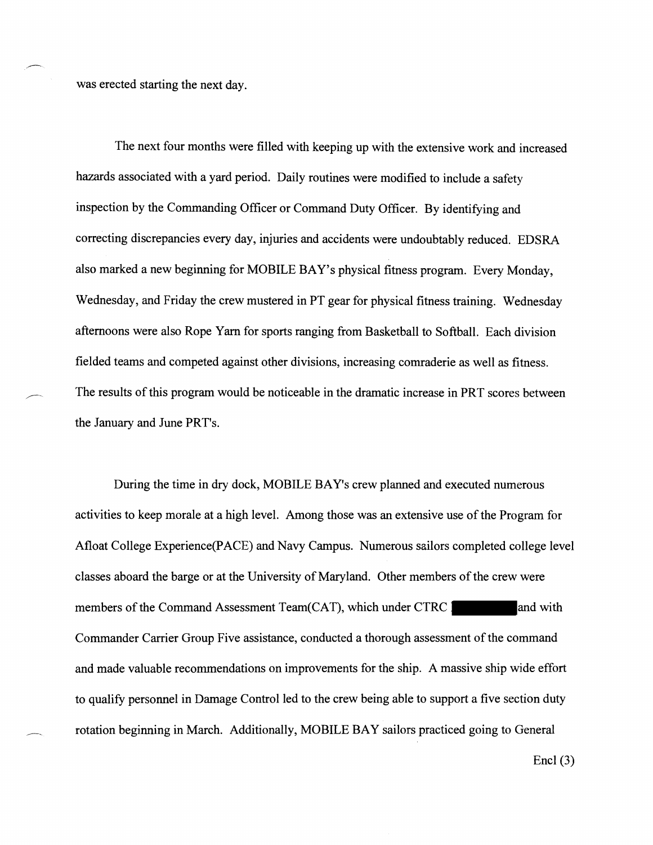was erected starting the next day.

?--.

The next four months were filled with keeping up with the extensive work and increased hazards associated with a yard period. Daily routines were modified to include a safety inspection by the Commanding Officer or Command Duty Officer. By identifying and correcting discrepancies every day, injuries and accidents were undoubtably reduced. EDSRA also marked a new beginning for MOBILE BAY's physical fitness program. Every Monday, Wednesday, and Friday the crew mustered in PT gear for physical fitness training. Wednesday afternoons were also Rope Yarn for sports ranging from Basketball to Softball. Each division fielded teams and competed against other divisions, increasing comraderie as well as fitness. The results of this program would be noticeable in the dramatic increase in PRT scores between the January and June PRT's.

During the time in dry dock, MOBILE BAY's crew planned and executed numerous activities to keep morale at a high level. Among those was an extensive use of the Program for Afloat College Experience(PACE) and Navy Campus. Numerous sailors completed college level classes aboard the barge or at the University of Maryland. Other members of the crew were members of the Command Assessment Team(CAT), which under CTRC and with Commander Carrier Group Five assistance, conducted a thorough assessment of the command and made valuable recommendations on improvements for the ship. A massive ship wide effort to qualify personnel in Damage Control led to the crew being able to support a five section duty rotation beginning in March. Additionally, MOBILE BAY sailors practiced going to General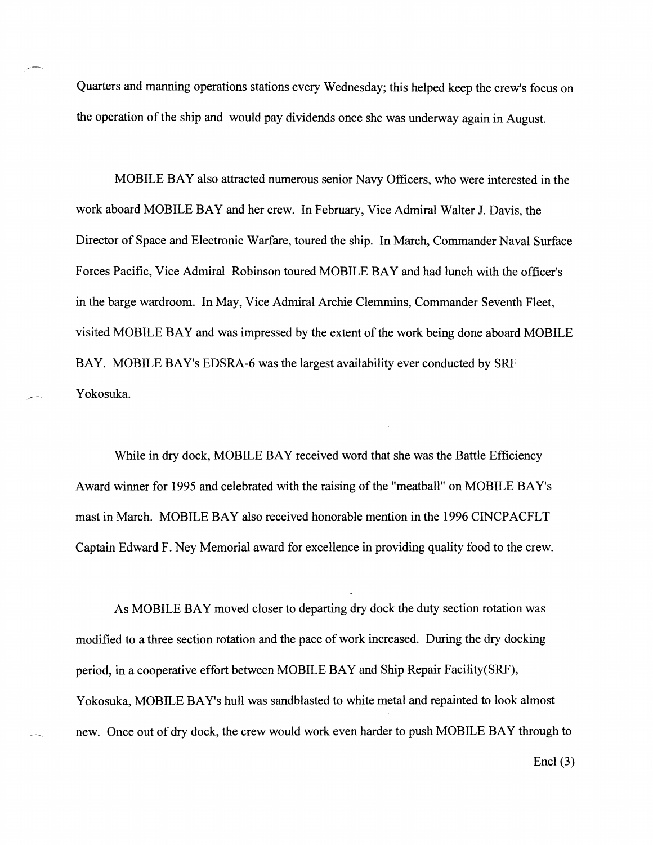Quarters and manning operations stations every Wednesday; this helped keep the crew's focus on the operation of the ship and would pay dividends once she was underway again in August.

,-

MOBILE BAY also attracted numerous senior Navy Officers, who were interested in the work aboard MOBILE BAY and her crew. In February, Vice Admiral Walter J. Davis, the Director of Space and Electronic Warfare, toured the ship. In March, Commander Naval Surface Forces Pacific, Vice Admiral Robinson toured MOBILE BAY and had lunch with the officer's in the barge wardroom. In May, Vice Admiral Archie Clemmins, Commander Seventh Fleet, visited MOBILE BAY and was impressed by the extent of the work being done aboard MOBILE BAY. MOBILE BAY's EDSRA-6 was the largest availability ever conducted by SRF Yokosuka.

While in dry dock, MOBILE BAY received word that she was the Battle Efficiency Award winner for 1995 and celebrated with the raising of the "meatball" on MOBILE BAY's mast in March. MOBILE BAY also received honorable mention in the 1996 CINCPACFLT Captain Edward F. Ney Memorial award for excellence in providing quality food to the crew.

As MOBILE BAY moved closer to departing dry dock the duty section rotation was modified to a three section rotation and the pace of work increased. During the dry docking period, in a cooperative effort between MOBILE BAY and Ship Repair Facility(SRF), Yokosuka, MOBILE BAY's hull was sandblasted to white metal and repainted to look almost new. Once out of dry dock, the crew would work even harder to push MOBILE BAY through to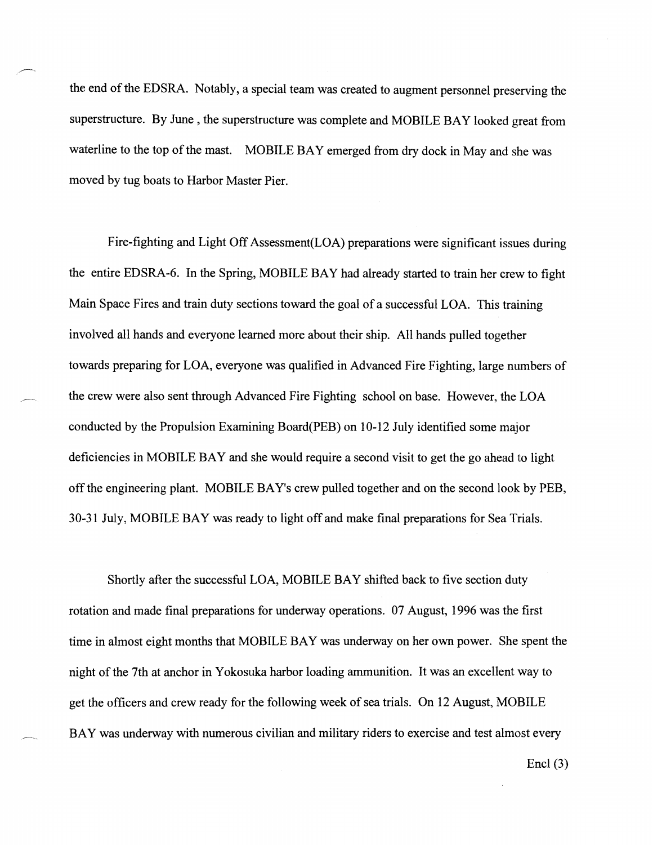the end of the EDSRA. Notably, a special team was created to augment personnel preserving the superstructure. By June , the superstructure was complete and MOBILE BAY looked great from waterline to the top of the mast. MOBILE BAY emerged from dry dock in May and she was moved by tug boats to Harbor Master Pier.

7.

Fire-fighting and Light Off Assessment(L0A) preparations were significant issues during the entire EDSRA-6. In the Spring, MOBILE BAY had already started to train her crew to fight Main Space Fires and train duty sections toward the goal of a successful LOA. This training involved all hands and everyone learned more about their ship. All hands pulled together towards preparing for LOA, everyone was qualified in Advanced Fire Fighting, large numbers of \_-. the crew were also sent through Advanced Fire Fighting school on base. However, the LOA conducted by the Propulsion Examining Board(PEB) on 10-12 July identified some major deficiencies in MOBILE BAY and she would require a second visit to get the go ahead to light off the engineering plant. MOBILE BAY'S crew pulled together and on the second look by PEB, 30-3 1 July, MOBILE BAY was ready to light off and make final preparations for Sea Trials.

Shortly after the successful LOA, MOBILE BAY shifted back to five section duty rotation and made final preparations for underway operations. 07 August, 1996 was the first time in almost eight months that MOBILE BAY was underway on her own power. She spent the night of the 7th at anchor in Yokosuka harbor loading ammunition. It was an excellent way to get the officers and crew ready for the following week of sea trials. On 12 August, MOBILE BAY was underway with numerous civilian and military riders to exercise and test almost every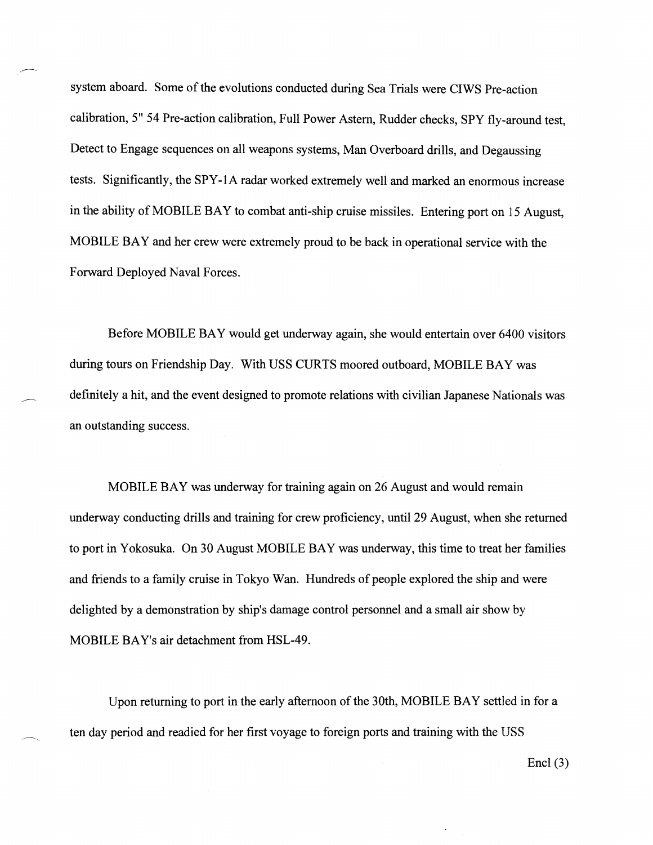system aboard. Some of the evolutions conducted during Sea Trials were CIWS Pre-action calibration, 5" 54 Pre-action calibration, Full Power Astern, Rudder checks, SPY fly-around test, Detect to Engage sequences on all weapons systems, Man Overboard drills, and Degaussing tests. Significantly, the SPY-1A radar worked extremely well and marked an enormous increase in the ability of MOBILE BAY to combat anti-ship cruise missiles. Entering port on 15 August, MOBILE BAY and her crew were extremely proud to be back in operational service with the Fonvard Deployed Naval Forces.

-

Before MOBILE BAY would get underway again, she would entertain over 6400 visitors during tours on Friendship Day. With USS CURTS moored outboard, MOBILE BAY was definitely a hit, and the event designed to promote relations with civilian Japanese Nationals was an outstanding success.

MOBILE BAY was underway for training again on 26 August and would remain underway conducting drills and training for crew proficiency, until 29 August, when she returned to port in Yokosuka. On 30 August MOBILE BAY was underway, this time to treat her families and friends to a family cruise in Tokyo Wan. Hundreds of people explored the ship and were delighted by a demonstration by ship's damage control personnel and a small air show by MOBILE BAY'S air detachment from HSL-49.

Upon returning to port in the early afternoon of the 30th, MOBILE BAY settled in for a ten day period and readied for her first voyage to foreign ports and training with the USS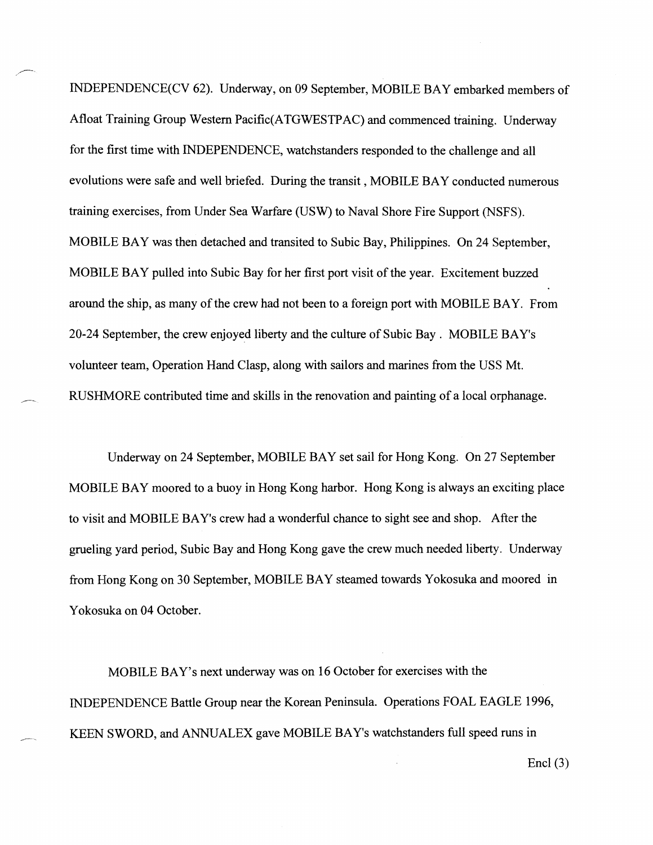INDEPENDENCE(CV 62). IJndenvay, on 09 September, MOBILE BAY embarked members of Afloat Training Group Western Pacific(ATGWESTPAC) and commenced training. Underway for the first time with INDEPENDENCE, watchstanders responded to the challenge and all evolutions were safe and well briefed. During the transit , MOBILE BAY conducted numerous training exercises, from Under Sea Warfare (USW) to Naval Shore Fire Support (NSFS). MOBILE BAY was then detached and transited to Subic Bay, Philippines. On 24 September, MOBILE BAY pulled into Subic Bay for her first port visit of the year. Excitement buzzed around the ship, as many of the crew had not been to a foreign port with MOBILE BAY. From 20-24 September, the crew enjoyed liberty and the culture of Subic Bay . MOBILE BAY's volunteer team, Operation Hand Clasp, along with sailors and marines from the USS Mt. RUSHMORE contributed time and skills in the renovation and painting of a local orphanage.

Underway on 24 September, MOBILE BAY set sail for Hong Kong. On 27 September MOBILE BAY moored to a buoy in Hong Kong harbor. Hong Kong is always an exciting place to visit and MOBILE BAY's crew had a wonderful chance to sight see and shop. After the grueling yard period, Subic Bay and Hong Kong gave the crew much needed liberty. Underway from Hong Kong on 30 September, MOBILE BAY steamed towards Yokosuka and moored in Yokosuka on 04 October.

MOBILE BAY's next underway was on 16 October for exercises with the INDEPENDENCE Battle Group near the Korean Peninsula. Operations FOAL EAGLE 1996, KEEN SWORD, and ANNUALEX gave MOBILE BAY's watchstanders full speed runs in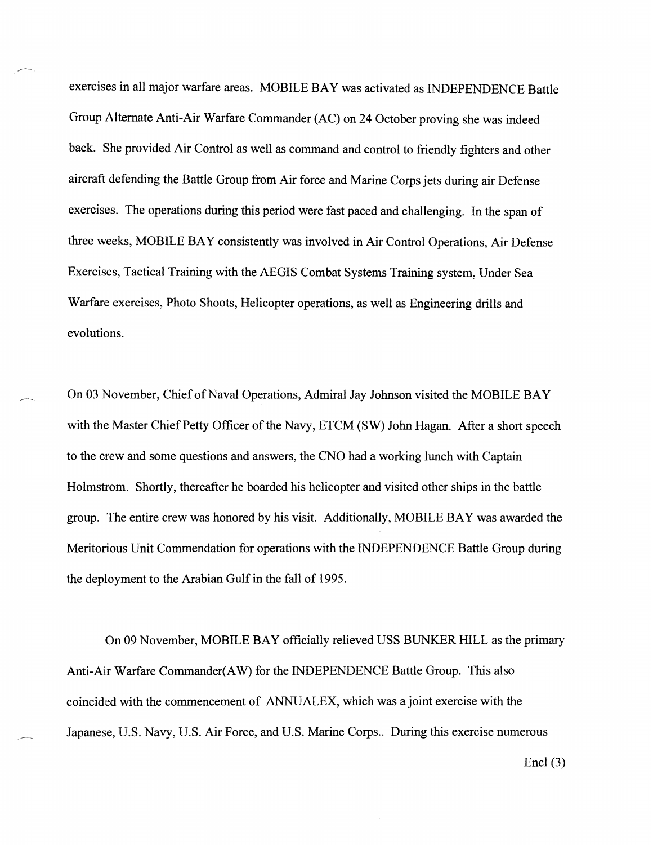exercises in all major warfare areas. MOBILE BAY was activated as INDEPENDENCE Battle Group Alternate Anti-Air Warfare Commander (AC) on 24 October proving she was indeed back. She provided Air Control as well as command and control to friendly fighters and other aircraft defending the Battle Group from Air force and Marine Corps jets during air Defense exercises. The operations during this period were fast paced and challenging. In the span of three weeks, MOBILE BAY consistently was involved in Air Control Operations, Air Defense Exercises, Tactical Training with the AEGIS Combat Systems Training system, Under Sea Warfare exercises, Photo Shoots, Helicopter operations, as well as Engineering drills and evolutions.

On 03 November, Chief of Naval Operations, Admiral Jay Johnson visited the MOBILE BAY with the Master Chief Petty Officer of the Navy, ETCM (SW) John Hagan. After a short speech to the crew and some questions and answers, the CNO had a working lunch with Captain Holmstrom. Shortly, thereafter he boarded his helicopter and visited other ships in the battle group. The entire crew was honored by his visit. Additionally, MOBILE BAY was awarded the Meritorious Unit Commendation for operations with the INDEPENDENCE Battle Group during the deployment to the Arabian Gulf in the fall of 1995.

On 09 November, MOBILE BAY officially relieved USS BUNKER HILL as the primary Anti-Air Warfare Commander(AW) for the INDEPENDENCE Battle Group. This also coincided with the commencement of ANNUALEX, which was a joint exercise with the Japanese, U.S. Navy, U.S. Air Force, and U.S. Marine Corps.. During this exercise numerous

 $\text{End}(3)$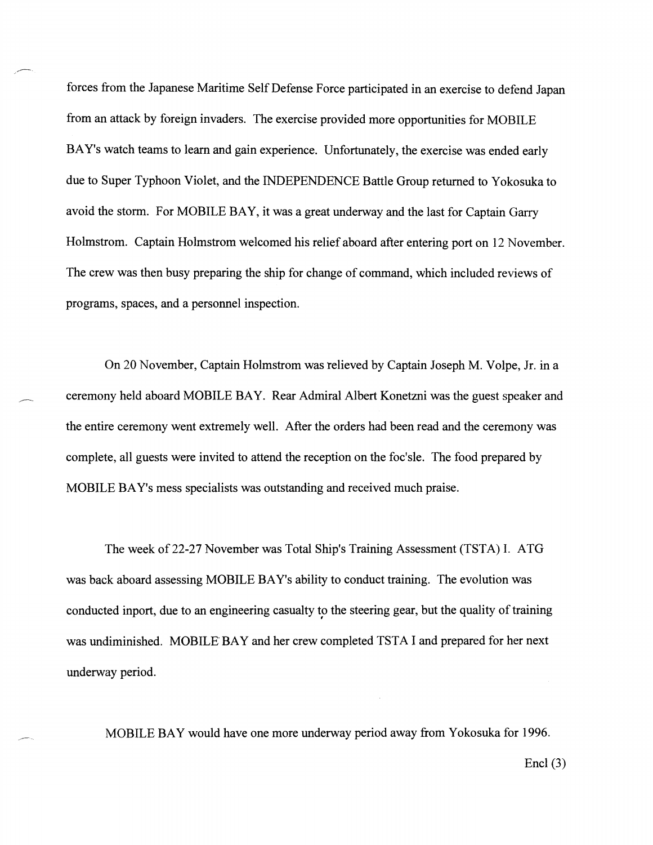forces from the Japanese Maritime Self Defense Force participated in an exercise to defend Japan frorn an attack by foreign invaders. The exercise provided more opportunities for MOBILE BAY's watch teams to learn and gain experience. Unfortunately, the exercise was ended early due to Super Typhoon Violet, and the INDEPENDENCE Battle Group returned to Yokosuka to avoid the storm. For MOBILE BAY, it was a great underway and the last for Captain Garry Holnnstrom. Captain Holmstrom welcomed his relief aboard after entering port on 12 November. The crew was then busy preparing the ship for change of command, which included reviews of programs, spaces, and a personnel inspection.

,-

On 20 November, Captain Holmstrom was relieved by Captain Joseph M. Volpe, Jr. in a ceremony held aboard MOBILE BAY. Rear Admiral Albert Konetzni was the guest speaker and the entire ceremony went extremely well. After the orders had been read and the ceremony was complete, all guests were invited to attend the reception on the foc'sle. The food prepared by MOBILE BAY's mess specialists was outstanding and received much praise.

The week of 22-27 November was Total Ship's Training Assessment (TSTA) I. ATG was back aboard assessing MOBILE BAY's ability to conduct training. The evolution was conducted inport, due to an engineering casualty to the steering gear, but the quality of training was undiminished. MOBILE BAY and her crew completed TSTA I and prepared for her next underway period.

MOBILE BAY would have one more underway period away from Yokosuka for 1996.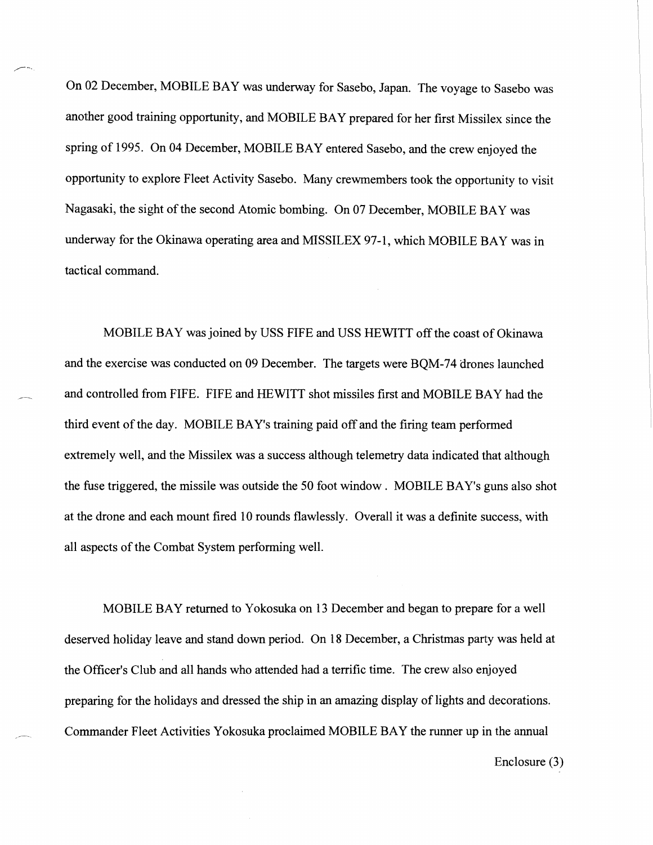On 02 December, MOBILE BAY was underway for Sasebo, Japan. The voyage to Sasebo was another good training opportunity, and MOBILE BAY prepared for her first Missilex since the spring of 1995. On 04 December, MOBILE BAY entered Sasebo, and the crew enjoyed the opportunity to explore Fleet Activity Sasebo. Many crewrnembers took the opportunity to visit Nagasaki, the sight of the second Atomic bombing. On 07 December, MOBILE BAY was underway for the Okinawa operating area and MISSILEX 97-1, which MOBILE BAY was in tactical command.

,--.

MOBILE BAY was joined by USS FIFE and USS HEWITT off the coast of Okinawa and the exercise was conducted on 09 December. The targets were BQM-74 drones launched and controlled from FIFE. FIFE and HEWITT shot missiles first and MOBILE BAY had the third event of the day. MOBILE BAY's training paid off and the firing team performed extremely well, and the Missilex was a success although telemetry data indicated that although the fuse triggered, the missile was outside the 50 foot window . MOBILE BAY's guns also shot at the drone and each mount fired 10 rounds flawlessly. Overall it was a definite success, with all aspects of the Combat System performing well.

MOBILE BAY returned to Yokosuka on 13 December and began to prepare for a well deserved holiday leave and stand down period. On 18 December, a Christmas party was held at the Officer's Club and all hands who attended had a terrific time. The crew also enjoyed preparing for the holidays and dressed the ship in an amazing display of lights and decorations. **-** Commander Fleet Activities Yokosuka proclaimed MOBILE BAY the runner up in the annual

Enclosure **(3)**